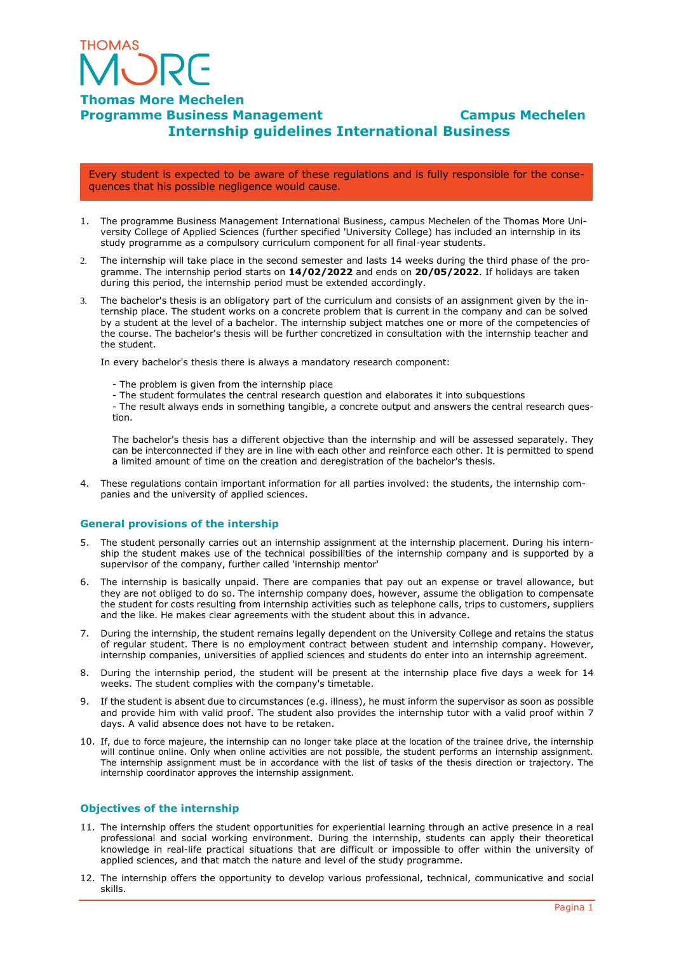

#### **Thomas More Mechelen Programme Business Management Campus Mechelen Internship guidelines International Business**

Every student is expected to be aware of these regulations and is fully responsible for the consequences that his possible negligence would cause.

- 1. The programme Business Management International Business, campus Mechelen of the Thomas More University College of Applied Sciences (further specified 'University College) has included an internship in its study programme as a compulsory curriculum component for all final-year students.
- 2. The internship will take place in the second semester and lasts 14 weeks during the third phase of the programme. The internship period starts on **14/02/2022** and ends on **20/05/2022**. If holidays are taken during this period, the internship period must be extended accordingly.
- 3. The bachelor's thesis is an obligatory part of the curriculum and consists of an assignment given by the internship place. The student works on a concrete problem that is current in the company and can be solved by a student at the level of a bachelor. The internship subject matches one or more of the competencies of the course. The bachelor's thesis will be further concretized in consultation with the internship teacher and the student.

In every bachelor's thesis there is always a mandatory research component:

- The problem is given from the internship place
- The student formulates the central research question and elaborates it into subquestions

- The result always ends in something tangible, a concrete output and answers the central research question.

The bachelor's thesis has a different objective than the internship and will be assessed separately. They can be interconnected if they are in line with each other and reinforce each other. It is permitted to spend a limited amount of time on the creation and deregistration of the bachelor's thesis.

4. These regulations contain important information for all parties involved: the students, the internship companies and the university of applied sciences.

#### **General provisions of the intership**

- 5. The student personally carries out an internship assignment at the internship placement. During his internship the student makes use of the technical possibilities of the internship company and is supported by a supervisor of the company, further called 'internship mentor'
- 6. The internship is basically unpaid. There are companies that pay out an expense or travel allowance, but they are not obliged to do so. The internship company does, however, assume the obligation to compensate the student for costs resulting from internship activities such as telephone calls, trips to customers, suppliers and the like. He makes clear agreements with the student about this in advance.
- 7. During the internship, the student remains legally dependent on the University College and retains the status of regular student. There is no employment contract between student and internship company. However, internship companies, universities of applied sciences and students do enter into an internship agreement.
- 8. During the internship period, the student will be present at the internship place five days a week for 14 weeks. The student complies with the company's timetable.
- 9. If the student is absent due to circumstances (e.g. illness), he must inform the supervisor as soon as possible and provide him with valid proof. The student also provides the internship tutor with a valid proof within 7 days. A valid absence does not have to be retaken.
- 10. If, due to force majeure, the internship can no longer take place at the location of the trainee drive, the internship will continue online. Only when online activities are not possible, the student performs an internship assignment. The internship assignment must be in accordance with the list of tasks of the thesis direction or trajectory. The internship coordinator approves the internship assignment.

#### **Objectives of the internship**

- 11. The internship offers the student opportunities for experiential learning through an active presence in a real professional and social working environment. During the internship, students can apply their theoretical knowledge in real-life practical situations that are difficult or impossible to offer within the university of applied sciences, and that match the nature and level of the study programme.
- 12. The internship offers the opportunity to develop various professional, technical, communicative and social skills.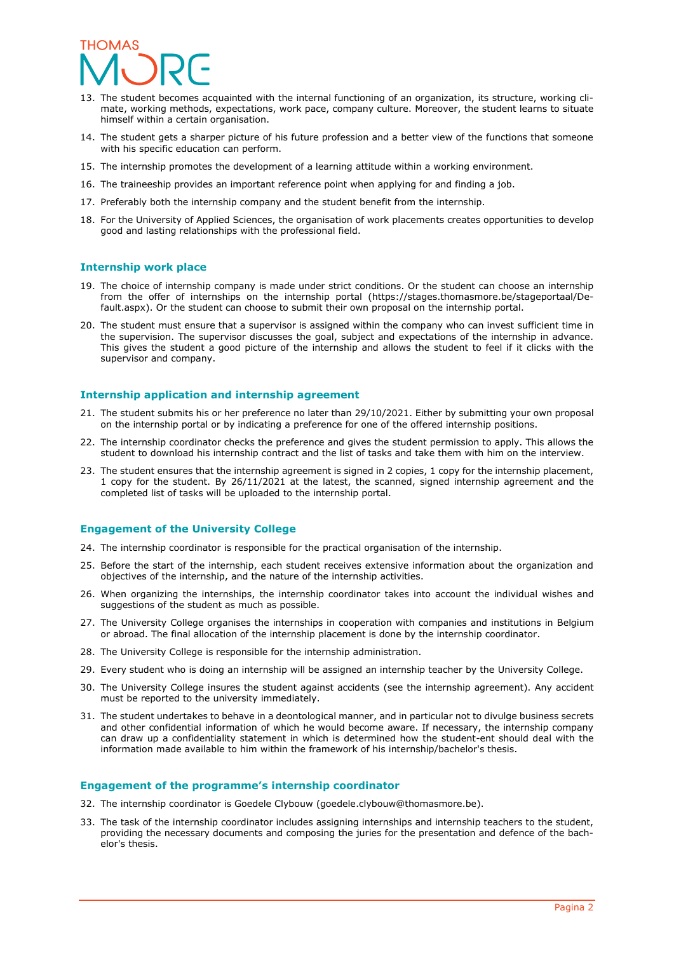## **THOMAS**

- 13. The student becomes acquainted with the internal functioning of an organization, its structure, working climate, working methods, expectations, work pace, company culture. Moreover, the student learns to situate himself within a certain organisation.
- 14. The student gets a sharper picture of his future profession and a better view of the functions that someone with his specific education can perform.
- 15. The internship promotes the development of a learning attitude within a working environment.
- 16. The traineeship provides an important reference point when applying for and finding a job.
- 17. Preferably both the internship company and the student benefit from the internship.
- 18. For the University of Applied Sciences, the organisation of work placements creates opportunities to develop good and lasting relationships with the professional field.

#### **Internship work place**

- 19. The choice of internship company is made under strict conditions. Or the student can choose an internship from the offer of internships on the internship portal (https://stages.thomasmore.be/stageportaal/Default.aspx). Or the student can choose to submit their own proposal on the internship portal.
- 20. The student must ensure that a supervisor is assigned within the company who can invest sufficient time in the supervision. The supervisor discusses the goal, subject and expectations of the internship in advance. This gives the student a good picture of the internship and allows the student to feel if it clicks with the supervisor and company.

#### **Internship application and internship agreement**

- 21. The student submits his or her preference no later than 29/10/2021. Either by submitting your own proposal on the internship portal or by indicating a preference for one of the offered internship positions.
- 22. The internship coordinator checks the preference and gives the student permission to apply. This allows the student to download his internship contract and the list of tasks and take them with him on the interview.
- 23. The student ensures that the internship agreement is signed in 2 copies, 1 copy for the internship placement, 1 copy for the student. By 26/11/2021 at the latest, the scanned, signed internship agreement and the completed list of tasks will be uploaded to the internship portal.

#### **Engagement of the University College**

- 24. The internship coordinator is responsible for the practical organisation of the internship.
- 25. Before the start of the internship, each student receives extensive information about the organization and objectives of the internship, and the nature of the internship activities.
- 26. When organizing the internships, the internship coordinator takes into account the individual wishes and suggestions of the student as much as possible.
- 27. The University College organises the internships in cooperation with companies and institutions in Belgium or abroad. The final allocation of the internship placement is done by the internship coordinator.
- 28. The University College is responsible for the internship administration.
- 29. Every student who is doing an internship will be assigned an internship teacher by the University College.
- 30. The University College insures the student against accidents (see the internship agreement). Any accident must be reported to the university immediately.
- 31. The student undertakes to behave in a deontological manner, and in particular not to divulge business secrets and other confidential information of which he would become aware. If necessary, the internship company can draw up a confidentiality statement in which is determined how the student-ent should deal with the information made available to him within the framework of his internship/bachelor's thesis.

#### **Engagement of the programme's internship coordinator**

- 32. The internship coordinator is Goedele Clybouw (goedele.clybouw@thomasmore.be).
- 33. The task of the internship coordinator includes assigning internships and internship teachers to the student, providing the necessary documents and composing the juries for the presentation and defence of the bachelor's thesis.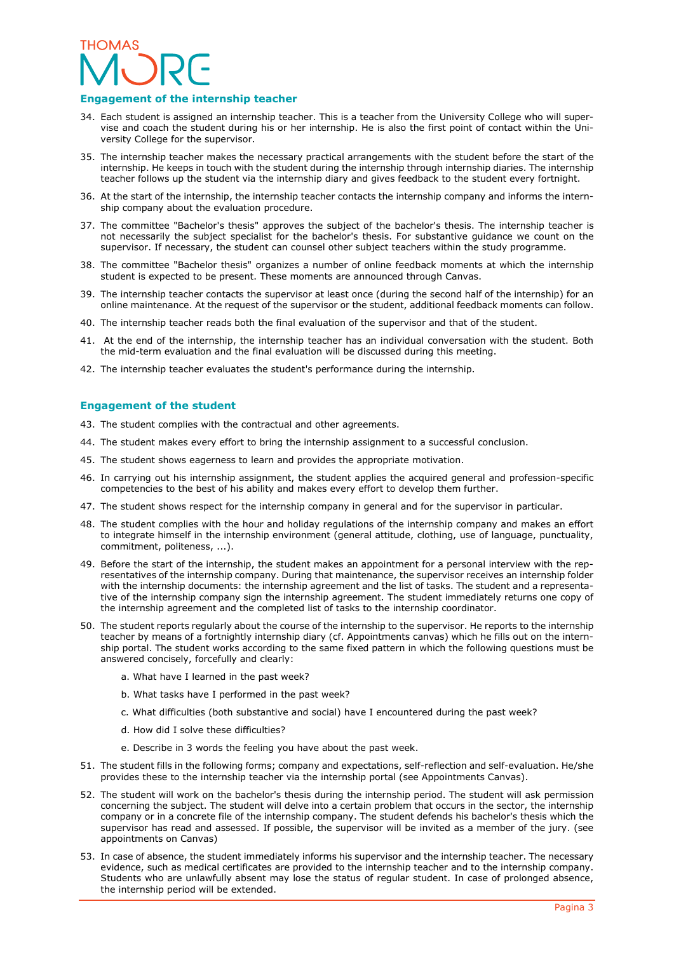## **THOMAS**

#### **Engagement of the internship teacher**

- 34. Each student is assigned an internship teacher. This is a teacher from the University College who will supervise and coach the student during his or her internship. He is also the first point of contact within the University College for the supervisor.
- 35. The internship teacher makes the necessary practical arrangements with the student before the start of the internship. He keeps in touch with the student during the internship through internship diaries. The internship teacher follows up the student via the internship diary and gives feedback to the student every fortnight.
- 36. At the start of the internship, the internship teacher contacts the internship company and informs the internship company about the evaluation procedure.
- 37. The committee "Bachelor's thesis" approves the subject of the bachelor's thesis. The internship teacher is not necessarily the subject specialist for the bachelor's thesis. For substantive guidance we count on the supervisor. If necessary, the student can counsel other subject teachers within the study programme.
- 38. The committee "Bachelor thesis" organizes a number of online feedback moments at which the internship student is expected to be present. These moments are announced through Canvas.
- 39. The internship teacher contacts the supervisor at least once (during the second half of the internship) for an online maintenance. At the request of the supervisor or the student, additional feedback moments can follow.
- 40. The internship teacher reads both the final evaluation of the supervisor and that of the student.
- 41. At the end of the internship, the internship teacher has an individual conversation with the student. Both the mid-term evaluation and the final evaluation will be discussed during this meeting.
- 42. The internship teacher evaluates the student's performance during the internship.

#### **Engagement of the student**

- 43. The student complies with the contractual and other agreements.
- 44. The student makes every effort to bring the internship assignment to a successful conclusion.
- 45. The student shows eagerness to learn and provides the appropriate motivation.
- 46. In carrying out his internship assignment, the student applies the acquired general and profession-specific competencies to the best of his ability and makes every effort to develop them further.
- 47. The student shows respect for the internship company in general and for the supervisor in particular.
- 48. The student complies with the hour and holiday regulations of the internship company and makes an effort to integrate himself in the internship environment (general attitude, clothing, use of language, punctuality, commitment, politeness, ...).
- 49. Before the start of the internship, the student makes an appointment for a personal interview with the representatives of the internship company. During that maintenance, the supervisor receives an internship folder with the internship documents: the internship agreement and the list of tasks. The student and a representative of the internship company sign the internship agreement. The student immediately returns one copy of the internship agreement and the completed list of tasks to the internship coordinator.
- 50. The student reports regularly about the course of the internship to the supervisor. He reports to the internship teacher by means of a fortnightly internship diary (cf. Appointments canvas) which he fills out on the internship portal. The student works according to the same fixed pattern in which the following questions must be answered concisely, forcefully and clearly:
	- a. What have I learned in the past week?
	- b. What tasks have I performed in the past week?
	- c. What difficulties (both substantive and social) have I encountered during the past week?
	- d. How did I solve these difficulties?
	- e. Describe in 3 words the feeling you have about the past week.
- 51. The student fills in the following forms; company and expectations, self-reflection and self-evaluation. He/she provides these to the internship teacher via the internship portal (see Appointments Canvas).
- 52. The student will work on the bachelor's thesis during the internship period. The student will ask permission concerning the subject. The student will delve into a certain problem that occurs in the sector, the internship company or in a concrete file of the internship company. The student defends his bachelor's thesis which the supervisor has read and assessed. If possible, the supervisor will be invited as a member of the jury. (see appointments on Canvas)
- 53. In case of absence, the student immediately informs his supervisor and the internship teacher. The necessary evidence, such as medical certificates are provided to the internship teacher and to the internship company. Students who are unlawfully absent may lose the status of regular student. In case of prolonged absence, the internship period will be extended.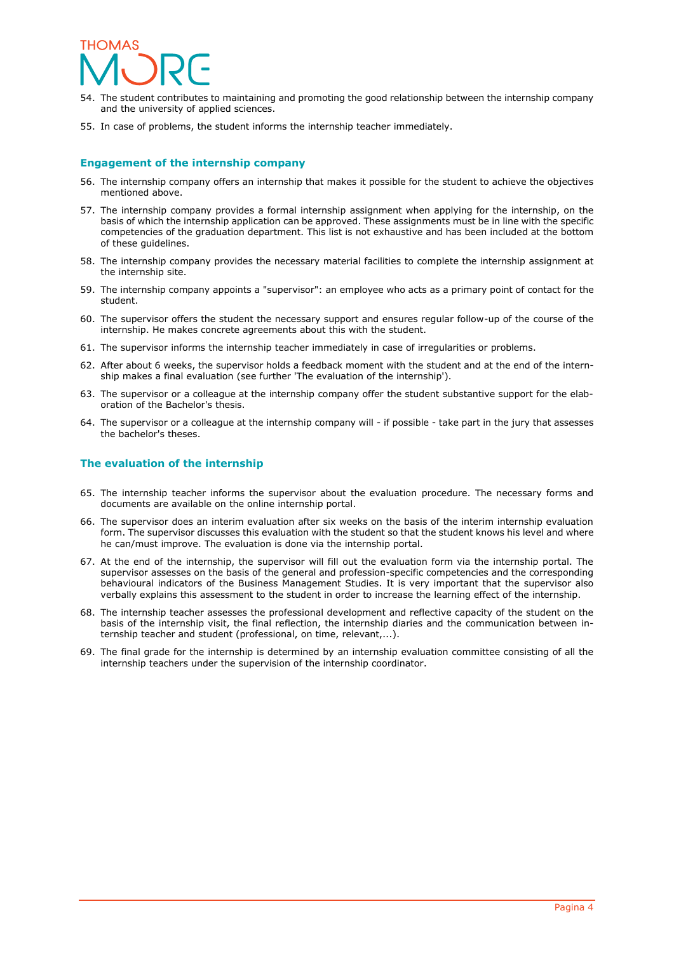

- 54. The student contributes to maintaining and promoting the good relationship between the internship company and the university of applied sciences.
- 55. In case of problems, the student informs the internship teacher immediately.

#### **Engagement of the internship company**

- 56. The internship company offers an internship that makes it possible for the student to achieve the objectives mentioned above.
- 57. The internship company provides a formal internship assignment when applying for the internship, on the basis of which the internship application can be approved. These assignments must be in line with the specific competencies of the graduation department. This list is not exhaustive and has been included at the bottom of these guidelines.
- 58. The internship company provides the necessary material facilities to complete the internship assignment at the internship site.
- 59. The internship company appoints a "supervisor": an employee who acts as a primary point of contact for the student.
- 60. The supervisor offers the student the necessary support and ensures regular follow-up of the course of the internship. He makes concrete agreements about this with the student.
- 61. The supervisor informs the internship teacher immediately in case of irregularities or problems.
- 62. After about 6 weeks, the supervisor holds a feedback moment with the student and at the end of the internship makes a final evaluation (see further 'The evaluation of the internship').
- 63. The supervisor or a colleague at the internship company offer the student substantive support for the elaboration of the Bachelor's thesis.
- 64. The supervisor or a colleague at the internship company will if possible take part in the jury that assesses the bachelor's theses.

#### **The evaluation of the internship**

- 65. The internship teacher informs the supervisor about the evaluation procedure. The necessary forms and documents are available on the online internship portal.
- 66. The supervisor does an interim evaluation after six weeks on the basis of the interim internship evaluation form. The supervisor discusses this evaluation with the student so that the student knows his level and where he can/must improve. The evaluation is done via the internship portal.
- 67. At the end of the internship, the supervisor will fill out the evaluation form via the internship portal. The supervisor assesses on the basis of the general and profession-specific competencies and the corresponding behavioural indicators of the Business Management Studies. It is very important that the supervisor also verbally explains this assessment to the student in order to increase the learning effect of the internship.
- 68. The internship teacher assesses the professional development and reflective capacity of the student on the basis of the internship visit, the final reflection, the internship diaries and the communication between internship teacher and student (professional, on time, relevant,...).
- 69. The final grade for the internship is determined by an internship evaluation committee consisting of all the internship teachers under the supervision of the internship coordinator.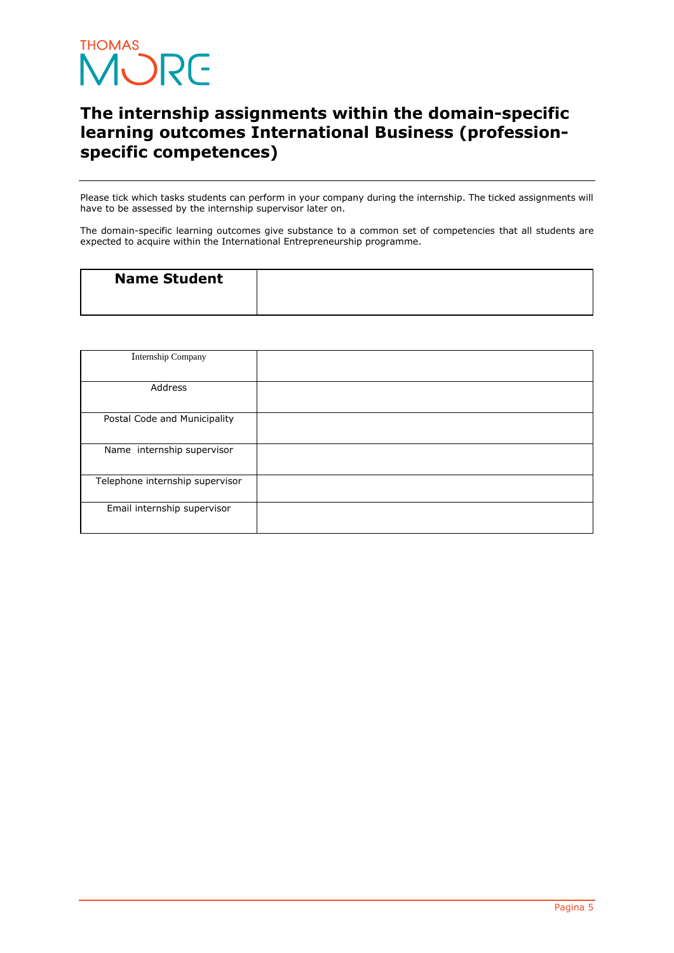

### **The internship assignments within the domain-specific learning outcomes International Business (professionspecific competences)**

Please tick which tasks students can perform in your company during the internship. The ticked assignments will have to be assessed by the internship supervisor later on.

The domain-specific learning outcomes give substance to a common set of competencies that all students are expected to acquire within the International Entrepreneurship programme.

| <b>Name Student</b> |  |
|---------------------|--|
|                     |  |

| Internship Company              |  |
|---------------------------------|--|
|                                 |  |
| Address                         |  |
|                                 |  |
| Postal Code and Municipality    |  |
|                                 |  |
| Name internship supervisor      |  |
|                                 |  |
| Telephone internship supervisor |  |
|                                 |  |
| Email internship supervisor     |  |
|                                 |  |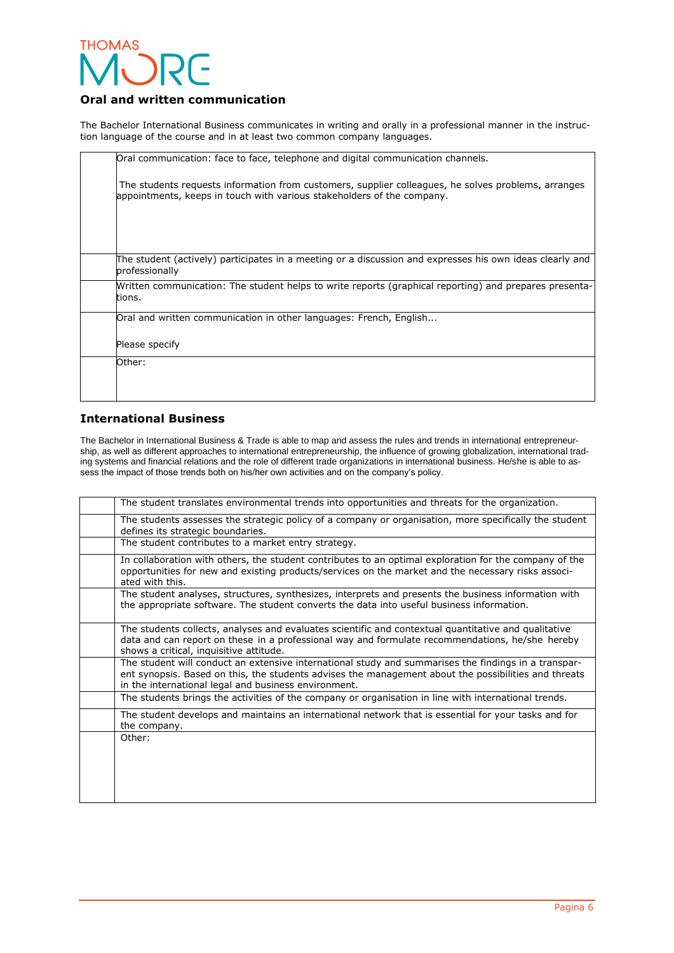

#### **Oral and written communication**

The Bachelor International Business communicates in writing and orally in a professional manner in the instruction language of the course and in at least two common company languages. 

| Oral communication: face to face, telephone and digital communication channels.                                                                                               |
|-------------------------------------------------------------------------------------------------------------------------------------------------------------------------------|
| The students requests information from customers, supplier colleagues, he solves problems, arranges<br>appointments, keeps in touch with various stakeholders of the company. |
|                                                                                                                                                                               |
| The student (actively) participates in a meeting or a discussion and expresses his own ideas clearly and<br>professionally                                                    |
| Mritten communication: The student helps to write reports (graphical reporting) and prepares presenta-<br>tions.                                                              |
| Oral and written communication in other languages: French, English                                                                                                            |
| Please specify                                                                                                                                                                |
| Other:                                                                                                                                                                        |

#### **International Business**

The Bachelor in International Business & Trade is able to map and assess the rules and trends in international entrepreneurship, as well as different approaches to international entrepreneurship, the influence of growing globalization, international trading systems and financial relations and the role of different trade organizations in international business. He/she is able to assess the impact of those trends both on his/her own activities and on the company's policy. 

| The student translates environmental trends into opportunities and threats for the organization.                                                                                                                                                                     |
|----------------------------------------------------------------------------------------------------------------------------------------------------------------------------------------------------------------------------------------------------------------------|
| The students assesses the strategic policy of a company or organisation, more specifically the student<br>defines its strategic boundaries.                                                                                                                          |
| The student contributes to a market entry strategy.                                                                                                                                                                                                                  |
| In collaboration with others, the student contributes to an optimal exploration for the company of the<br>opportunities for new and existing products/services on the market and the necessary risks associ-<br>ated with this.                                      |
| The student analyses, structures, synthesizes, interprets and presents the business information with<br>the appropriate software. The student converts the data into useful business information.                                                                    |
| The students collects, analyses and evaluates scientific and contextual quantitative and qualitative<br>data and can report on these in a professional way and formulate recommendations, he/she hereby<br>shows a critical, inquisitive attitude.                   |
| The student will conduct an extensive international study and summarises the findings in a transpar-<br>ent synopsis. Based on this, the students advises the management about the possibilities and threats<br>in the international legal and business environment. |
| The students brings the activities of the company or organisation in line with international trends.                                                                                                                                                                 |
| The student develops and maintains an international network that is essential for your tasks and for<br>the company.                                                                                                                                                 |
| Other:                                                                                                                                                                                                                                                               |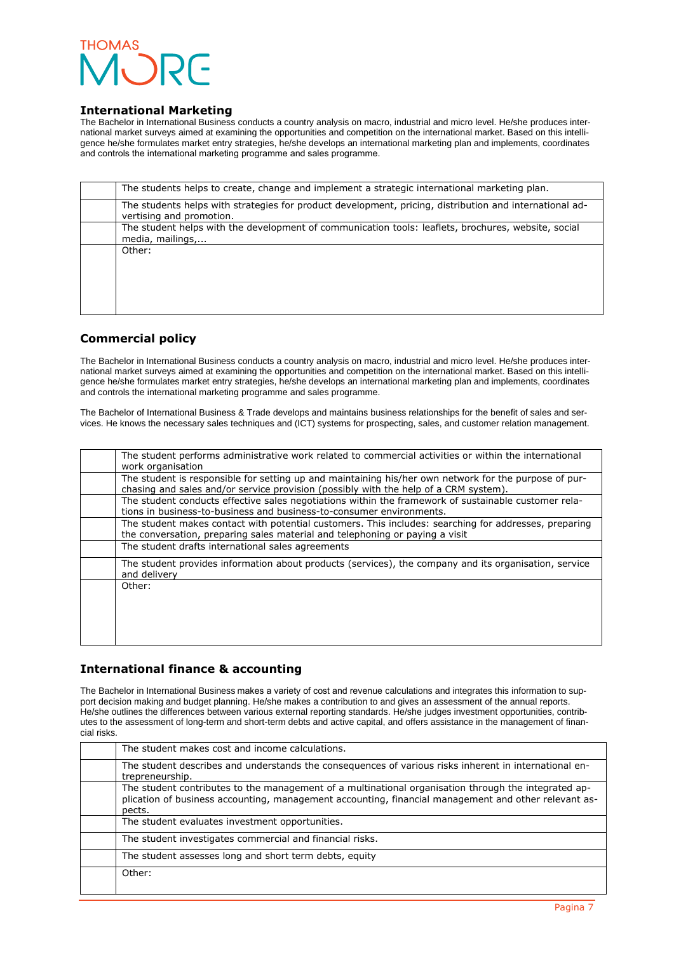

#### **International Marketing**

The Bachelor in International Business conducts a country analysis on macro, industrial and micro level. He/she produces international market surveys aimed at examining the opportunities and competition on the international market. Based on this intelligence he/she formulates market entry strategies, he/she develops an international marketing plan and implements, coordinates and controls the international marketing programme and sales programme. 

| The students helps to create, change and implement a strategic international marketing plan.                                        |
|-------------------------------------------------------------------------------------------------------------------------------------|
| The students helps with strategies for product development, pricing, distribution and international ad-<br>vertising and promotion. |
| The student helps with the development of communication tools: leaflets, brochures, website, social<br>media, mailings,             |
| Other:                                                                                                                              |
|                                                                                                                                     |
|                                                                                                                                     |
|                                                                                                                                     |

#### **Commercial policy**

The Bachelor in International Business conducts a country analysis on macro, industrial and micro level. He/she produces international market surveys aimed at examining the opportunities and competition on the international market. Based on this intelligence he/she formulates market entry strategies, he/she develops an international marketing plan and implements, coordinates and controls the international marketing programme and sales programme.

The Bachelor of International Business & Trade develops and maintains business relationships for the benefit of sales and services. He knows the necessary sales techniques and (ICT) systems for prospecting, sales, and customer relation management.

| The student performs administrative work related to commercial activities or within the international<br>work organisation                                                                    |
|-----------------------------------------------------------------------------------------------------------------------------------------------------------------------------------------------|
| The student is responsible for setting up and maintaining his/her own network for the purpose of pur-<br>chasing and sales and/or service provision (possibly with the help of a CRM system). |
| The student conducts effective sales negotiations within the framework of sustainable customer rela-<br>tions in business-to-business and business-to-consumer environments.                  |
| The student makes contact with potential customers. This includes: searching for addresses, preparing<br>the conversation, preparing sales material and telephoning or paying a visit         |
| The student drafts international sales agreements                                                                                                                                             |
| The student provides information about products (services), the company and its organisation, service<br>and delivery                                                                         |
| Other:                                                                                                                                                                                        |
|                                                                                                                                                                                               |
|                                                                                                                                                                                               |
|                                                                                                                                                                                               |

#### **International finance & accounting**

The Bachelor in International Business makes a variety of cost and revenue calculations and integrates this information to support decision making and budget planning. He/she makes a contribution to and gives an assessment of the annual reports. He/she outlines the differences between various external reporting standards. He/she judges investment opportunities, contributes to the assessment of long-term and short-term debts and active capital, and offers assistance in the management of financial risks.

| The student makes cost and income calculations.                                                                                                                                                                        |
|------------------------------------------------------------------------------------------------------------------------------------------------------------------------------------------------------------------------|
| The student describes and understands the consequences of various risks inherent in international en-<br>trepreneurship.                                                                                               |
| The student contributes to the management of a multinational organisation through the integrated ap-<br>plication of business accounting, management accounting, financial management and other relevant as-<br>pects. |
| The student evaluates investment opportunities.                                                                                                                                                                        |
| The student investigates commercial and financial risks.                                                                                                                                                               |
| The student assesses long and short term debts, equity                                                                                                                                                                 |
| Other:                                                                                                                                                                                                                 |